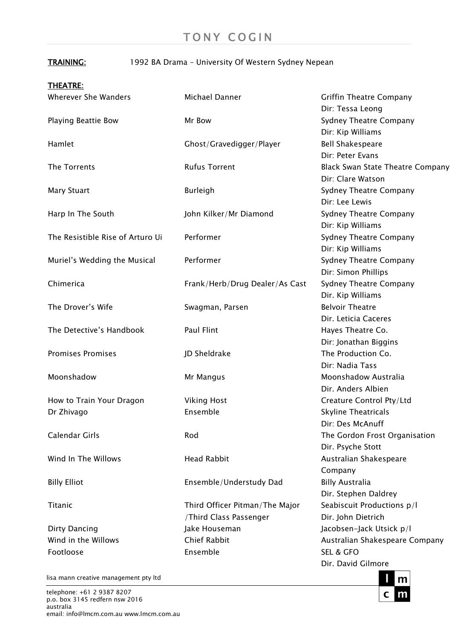## TRAINING: 1992 BA Drama – University Of Western Sydney Nepean

|  | <b>THEATRE:</b> |  |  |  |
|--|-----------------|--|--|--|
|  |                 |  |  |  |

| Wherever She Wanders             | Michael Danner                 | <b>Griffin Theatre Company</b>          |
|----------------------------------|--------------------------------|-----------------------------------------|
|                                  |                                | Dir: Tessa Leong                        |
| <b>Playing Beattie Bow</b>       | Mr Bow                         | Sydney Theatre Company                  |
|                                  |                                | Dir: Kip Williams                       |
| Hamlet                           | Ghost/Gravedigger/Player       | <b>Bell Shakespeare</b>                 |
|                                  |                                | Dir: Peter Evans                        |
| The Torrents                     | <b>Rufus Torrent</b>           | <b>Black Swan State Theatre Company</b> |
|                                  |                                | Dir: Clare Watson                       |
| <b>Mary Stuart</b>               | <b>Burleigh</b>                | Sydney Theatre Company                  |
|                                  |                                | Dir: Lee Lewis                          |
| Harp In The South                | John Kilker/Mr Diamond         | Sydney Theatre Company                  |
|                                  |                                | Dir: Kip Williams                       |
| The Resistible Rise of Arturo Ui | Performer                      | <b>Sydney Theatre Company</b>           |
|                                  |                                | Dir: Kip Williams                       |
| Muriel's Wedding the Musical     | Performer                      | Sydney Theatre Company                  |
|                                  |                                | Dir: Simon Phillips                     |
| Chimerica                        | Frank/Herb/Drug Dealer/As Cast | <b>Sydney Theatre Company</b>           |
|                                  |                                | Dir. Kip Williams                       |
| The Drover's Wife                | Swagman, Parsen                | <b>Belvoir Theatre</b>                  |
|                                  |                                | Dir. Leticia Caceres                    |
| The Detective's Handbook         | Paul Flint                     | Hayes Theatre Co.                       |
|                                  |                                | Dir: Jonathan Biggins                   |
| <b>Promises Promises</b>         | JD Sheldrake                   | The Production Co.                      |
|                                  |                                | Dir: Nadia Tass                         |
| Moonshadow                       | Mr Mangus                      | Moonshadow Australia                    |
|                                  |                                | Dir. Anders Albien                      |
| How to Train Your Dragon         | <b>Viking Host</b>             | Creature Control Pty/Ltd                |
| Dr Zhivago                       | Ensemble                       | <b>Skyline Theatricals</b>              |
|                                  |                                | Dir: Des McAnuff                        |
| Calendar Girls                   | Rod                            | The Gordon Frost Organisation           |
|                                  |                                | Dir. Psyche Stott                       |
| Wind In The Willows              | <b>Head Rabbit</b>             | Australian Shakespeare                  |
|                                  |                                | Company                                 |
| <b>Billy Elliot</b>              | Ensemble/Understudy Dad        | <b>Billy Australia</b>                  |
|                                  |                                | Dir. Stephen Daldrey                    |
| Titanic                          | Third Officer Pitman/The Major | Seabiscuit Productions p/l              |
|                                  | /Third Class Passenger         | Dir. John Dietrich                      |
| <b>Dirty Dancing</b>             | Jake Houseman                  | Jacobsen-Jack Utsick p/l                |
| Wind in the Willows              | <b>Chief Rabbit</b>            | Australian Shakespeare Company          |
| Footloose                        | Ensemble                       | <b>SEL &amp; GFO</b>                    |
|                                  |                                | Dir. David Gilmore                      |

lisa mann creative management pty ltd

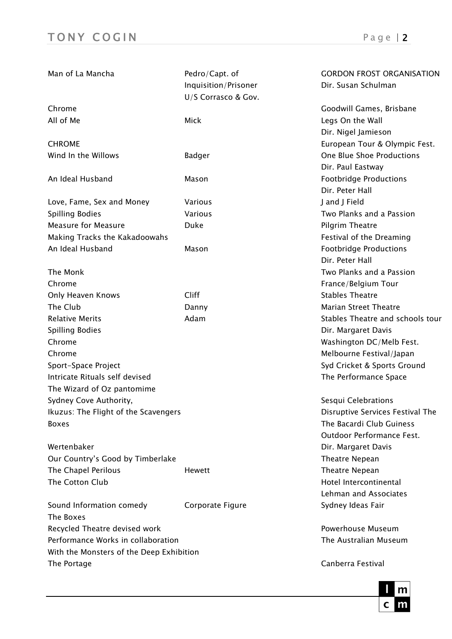| Man of La Mancha                         | Pedro/Capt. of       | <b>GORDON FROST ORGANISATION</b> |
|------------------------------------------|----------------------|----------------------------------|
|                                          | Inquisition/Prisoner | Dir. Susan Schulman              |
|                                          | U/S Corrasco & Gov.  |                                  |
| Chrome                                   |                      | Goodwill Games, Brisbane         |
| All of Me                                | Mick                 | Legs On the Wall                 |
|                                          |                      | Dir. Nigel Jamieson              |
| <b>CHROME</b>                            |                      | European Tour & Olympic Fest.    |
| Wind In the Willows                      | <b>Badger</b>        | One Blue Shoe Productions        |
|                                          |                      | Dir. Paul Eastway                |
| An Ideal Husband                         | Mason                | <b>Footbridge Productions</b>    |
|                                          |                      | Dir. Peter Hall                  |
| Love, Fame, Sex and Money                | Various              | J and J Field                    |
| <b>Spilling Bodies</b>                   | Various              | Two Planks and a Passion         |
| <b>Measure for Measure</b>               | Duke                 | Pilgrim Theatre                  |
| Making Tracks the Kakadoowahs            |                      | Festival of the Dreaming         |
| An Ideal Husband                         | Mason                | <b>Footbridge Productions</b>    |
|                                          |                      | Dir. Peter Hall                  |
| The Monk                                 |                      | Two Planks and a Passion         |
| Chrome                                   |                      | France/Belgium Tour              |
| Only Heaven Knows                        | Cliff                | <b>Stables Theatre</b>           |
| The Club                                 | Danny                | <b>Marian Street Theatre</b>     |
| <b>Relative Merits</b>                   | Adam                 | Stables Theatre and schools tour |
| Spilling Bodies                          |                      | Dir. Margaret Davis              |
| Chrome                                   |                      | Washington DC/Melb Fest.         |
| Chrome                                   |                      | Melbourne Festival/Japan         |
| Sport-Space Project                      |                      | Syd Cricket & Sports Ground      |
| Intricate Rituals self devised           |                      | The Performance Space            |
| The Wizard of Oz pantomime               |                      |                                  |
| Sydney Cove Authority,                   |                      | Sesqui Celebrations              |
| Ikuzus: The Flight of the Scavengers     |                      | Disruptive Services Festival The |
| <b>Boxes</b>                             |                      | The Bacardi Club Guiness         |
|                                          |                      | Outdoor Performance Fest.        |
| Wertenbaker                              |                      | Dir. Margaret Davis              |
| Our Country's Good by Timberlake         |                      | Theatre Nepean                   |
| The Chapel Perilous                      | <b>Hewett</b>        | Theatre Nepean                   |
| The Cotton Club                          |                      | Hotel Intercontinental           |
|                                          |                      | Lehman and Associates            |
| Sound Information comedy                 | Corporate Figure     | Sydney Ideas Fair                |
| The Boxes                                |                      |                                  |
| Recycled Theatre devised work            |                      | Powerhouse Museum                |
| Performance Works in collaboration       |                      | The Australian Museum            |
| With the Monsters of the Deep Exhibition |                      |                                  |
| The Portage                              |                      | Canberra Festival                |

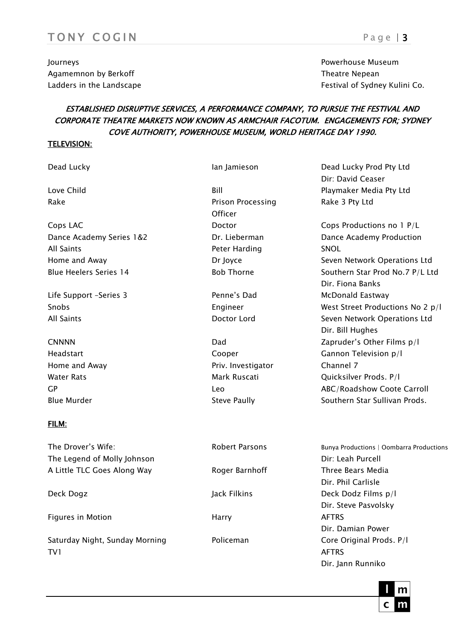## TONY COGIN Page 13

Journeys Powerhouse Museum Agamemnon by Berkoff Theatre Nepean Agamemnon by Berkoff Theatre Nepean Theatre Nepean

# Ladders in the Landscape Festival of Sydney Kulini Co.

## ESTABLISHED DISRUPTIVE SERVICES, A PERFORMANCE COMPANY, TO PURSUE THE FESTIVAL AND CORPORATE THEATRE MARKETS NOW KNOWN AS ARMCHAIR FACOTUM. ENGAGEMENTS FOR; SYDNEY COVE AUTHORITY, POWERHOUSE MUSEUM, WORLD HERITAGE DAY 1990.

#### TELEVISION:

Dead Lucky **Ian Jamieson** Dead Lucky Prod Pty Ltd

Cops LAC Doctor Cops Productions no 1 P/L Dance Academy Series 1&2 **Dr. Lieberman** Dr. Dance Academy Production All Saints Peter Harding SNOL

Life Support –Series 3 Penne's Dad McDonald Eastway

## FILM:

The Drover's Wife: The Drover's Wife: The Drover's Wifest Allen and Robert Parsons Bunya Productions | Oombarra Productions | Oombarra Productions | Oombarra Productions | Compara Productions | Oombarra Productions | Compa The Legend of Molly Johnson **Direct Contract Contract Contract Contract Contract Contract Contract Contract Contract Contract Contract Contract Contract Contract Contract Contract Contract Contract Contract Contract Contra** A Little TLC Goes Along Way Three Bears Media

Figures in Motion **Figures** in Motion **AFTRS** 

Saturday Night, Sunday Morning Policeman Core Original Prods. P/l TV1 AFTRS

Rake **Prison Processing** Rake 3 Pty Ltd **Officer** 

Home and Away **Priv.** Investigator Channel 7

Dir: David Ceaser Love Child Bill Playmaker Media Pty Ltd Home and Away **Seven Network Operations Ltd** Dr Joyce Seven Network Operations Ltd Blue Heelers Series 14 **Bob Thorne** Bob Thorne Southern Star Prod No.7 P/L Ltd Dir. Fiona Banks Snobs Engineer West Street Productions No 2 p/l All Saints **Communist Communist Contract Contract Contract Contract Contract Contract Contract Contract Contract Contract Contract Contract Contract Contract Contract Contract Contract Contract Contract Contract Contract C** Dir. Bill Hughes CNNNN Dad Zapruder's Other Films p/l Headstart Cooper Gannon Television p/l Water Rats Mark Ruscati Controller Rats Mark Ruscati Quicksilver Prods. P/l GP Leo ABC/Roadshow Coote Carroll Blue Murder **Steve Paully** Steve Paully Southern Star Sullivan Prods.

Dir. Phil Carlisle Deck Dogz Jack Filkins Deck Dodz Films p/l Dir. Steve Pasvolsky Dir. Damian Power Dir. Jann Runniko

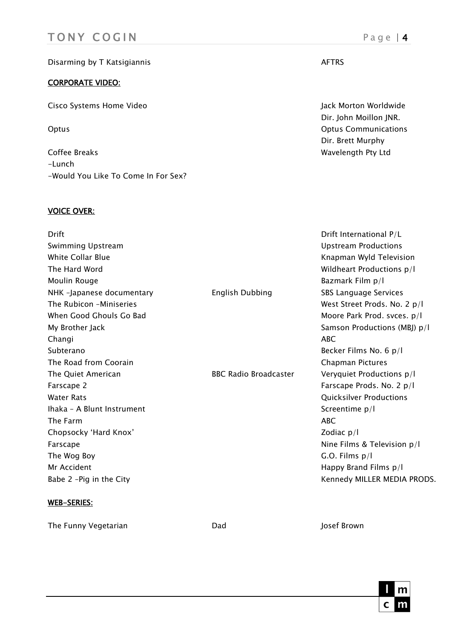## TONY COGIN Page | 4

## Disarming by T Katsigiannis AFTRS

### CORPORATE VIDEO:

Cisco Systems Home Video Jack Morton Worldwide

Coffee Breaks **Wavelength Pty Ltd** -Lunch -Would You Like To Come In For Sex?

## VOICE OVER:

Dir. John Moillon JNR. Optus Optus Communications Dir. Brett Murphy

| Drift                      |                              | Drift International P/L      |
|----------------------------|------------------------------|------------------------------|
| Swimming Upstream          |                              | <b>Upstream Productions</b>  |
| White Collar Blue          |                              | Knapman Wyld Television      |
| The Hard Word              |                              | Wildheart Productions p/l    |
| Moulin Rouge               |                              | Bazmark Film p/l             |
| NHK -Japanese documentary  | <b>English Dubbing</b>       | SBS Language Services        |
| The Rubicon -Miniseries    |                              | West Street Prods. No. 2 p/l |
| When Good Ghouls Go Bad    |                              | Moore Park Prod. svces. p/l  |
| My Brother Jack            |                              | Samson Productions (MBJ) p/l |
| Changi                     |                              | <b>ABC</b>                   |
| Subterano                  |                              | Becker Films No. 6 p/l       |
| The Road from Coorain      |                              | Chapman Pictures             |
| The Quiet American         | <b>BBC Radio Broadcaster</b> | Veryquiet Productions p/l    |
| Farscape 2                 |                              | Farscape Prods. No. 2 p/l    |
| <b>Water Rats</b>          |                              | Quicksilver Productions      |
| Ihaka - A Blunt Instrument |                              | Screentime p/l               |
| The Farm                   |                              | <b>ABC</b>                   |
| Chopsocky 'Hard Knox'      |                              | Zodiac $p/I$                 |
| Farscape                   |                              | Nine Films & Television p/l  |
| The Wog Boy                |                              | $G.O.$ Films $p/I$           |
| Mr Accident                |                              | Happy Brand Films p/l        |
| Babe 2 - Pig in the City   |                              | Kennedy MILLER MEDIA PRODS.  |
|                            |                              |                              |

## WEB-SERIES:

The Funny Vegetarian The Funny Vegetarian Communication Cade Communication Communication Communication Communication Communication Communication Communication Communication Communication Communication Communication Communi

C

m